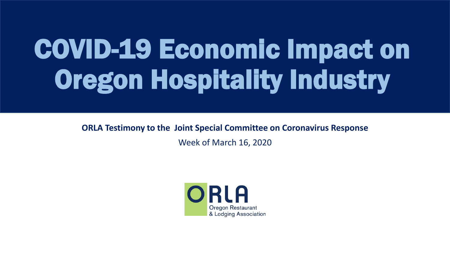# COVID-19 Economic Impact on Oregon Hospitality Industry

**ORLA Testimony to the Joint Special Committee on Coronavirus Response**

Week of March 16, 2020

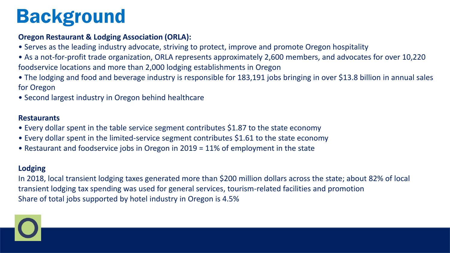# Background

### **Oregon Restaurant & Lodging Association (ORLA):**

- Serves as the leading industry advocate, striving to protect, improve and promote Oregon hospitality
- As a not-for-profit trade organization, ORLA represents approximately 2,600 members, and advocates for over 10,220 foodservice locations and more than 2,000 lodging establishments in Oregon
- The lodging and food and beverage industry is responsible for 183,191 jobs bringing in over \$13.8 billion in annual sales for Oregon
- Second largest industry in Oregon behind healthcare

### **Restaurants**

- Every dollar spent in the table service segment contributes \$1.87 to the state economy
- Every dollar spent in the limited-service segment contributes \$1.61 to the state economy
- Restaurant and foodservice jobs in Oregon in 2019 = 11% of employment in the state

### **Lodging**

In 2018, local transient lodging taxes generated more than \$200 million dollars across the state; about 82% of local transient lodging tax spending was used for general services, tourism-related facilities and promotion Share of total jobs supported by hotel industry in Oregon is 4.5%

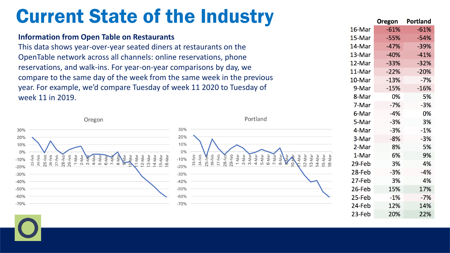# Current State of the Industry

### **Information from Open Table on Restaurants** This data shows year-over-year seated diners at restaurants on the OpenTable network across all channels: online reservations, phone reservations, and walk-ins. For year-on-year comparisons by day, we

compare to the same day of the week from the same week in the previous year. For example, we'd compare Tuesday of week 11 2020 to Tuesday of week 11 in 2019.



|        | <b>Oregon</b> | Portland |
|--------|---------------|----------|
| 16-Mar | $-61%$        | $-61%$   |
| 15-Mar | $-55%$        | $-54%$   |
| 14-Mar | $-47%$        | $-39%$   |
| 13-Mar | -40%          | $-41%$   |
| 12-Mar | $-33%$        | $-32%$   |
| 11-Mar | $-22%$        | $-20%$   |
| 10-Mar | $-13%$        | $-7%$    |
| 9-Mar  | $-15%$        | $-16%$   |
| 8-Mar  | 0%            | 5%       |
| 7-Mar  | $-7%$         | $-3%$    |
| 6-Mar  | $-4%$         | 0%       |
| 5-Mar  | -3%           | 3%       |
| 4-Mar  | $-3%$         | $-1%$    |
| 3-Mar  | $-8%$         | $-3%$    |
| 2-Mar  | 8%            | 5%       |
| 1-Mar  | 6%            | 9%       |
| 29-Feb | 3%            | 4%       |
| 28-Feb | -3%           | -4%      |
| 27-Feb | 3%            | 4%       |
| 26-Feb | 15%           | 17%      |
| 25-Feb | $-1%$         | $-7%$    |
| 24-Feb | 12%           | 14%      |
| 23-Feb | 20%           | 22%      |
|        |               |          |

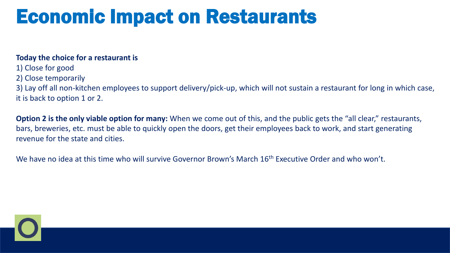# Economic Impact on Restaurants

### **Today the choice for a restaurant is**

- 1) Close for good
- 2) Close temporarily

3) Lay off all non-kitchen employees to support delivery/pick-up, which will not sustain a restaurant for long in which case, it is back to option 1 or 2.

**Option 2 is the only viable option for many:** When we come out of this, and the public gets the "all clear," restaurants, bars, breweries, etc. must be able to quickly open the doors, get their employees back to work, and start generating revenue for the state and cities.

We have no idea at this time who will survive Governor Brown's March 16<sup>th</sup> Executive Order and who won't.

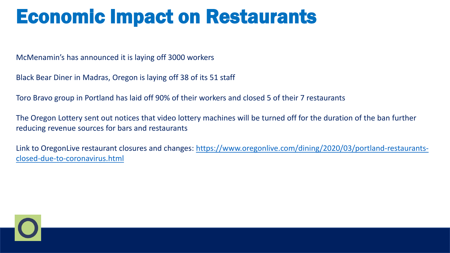# Economic Impact on Restaurants

McMenamin's has announced it is laying off 3000 workers

Black Bear Diner in Madras, Oregon is laying off 38 of its 51 staff

Toro Bravo group in Portland has laid off 90% of their workers and closed 5 of their 7 restaurants

The Oregon Lottery sent out notices that video lottery machines will be turned off for the duration of the ban further reducing revenue sources for bars and restaurants

[Link to OregonLive restaurant closures and changes: https://www.oregonlive.com/dining/2020/03/portland-restaurants](https://www.oregonlive.com/dining/2020/03/portland-restaurants-closed-due-to-coronavirus.html)closed-due-to-coronavirus.html

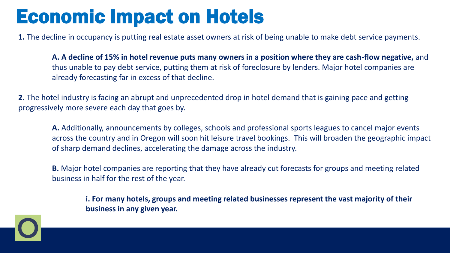# Economic Impact on Hotels

**1.** The decline in occupancy is putting real estate asset owners at risk of being unable to make debt service payments.

**A. A decline of 15% in hotel revenue puts many owners in a position where they are cash-flow negative,** and thus unable to pay debt service, putting them at risk of foreclosure by lenders. Major hotel companies are already forecasting far in excess of that decline.

**2.** The hotel industry is facing an abrupt and unprecedented drop in hotel demand that is gaining pace and getting progressively more severe each day that goes by.

**A.** Additionally, announcements by colleges, schools and professional sports leagues to cancel major events across the country and in Oregon will soon hit leisure travel bookings. This will broaden the geographic impact of sharp demand declines, accelerating the damage across the industry.

**B.** Major hotel companies are reporting that they have already cut forecasts for groups and meeting related business in half for the rest of the year.

**i. For many hotels, groups and meeting related businesses represent the vast majority of their business in any given year.**

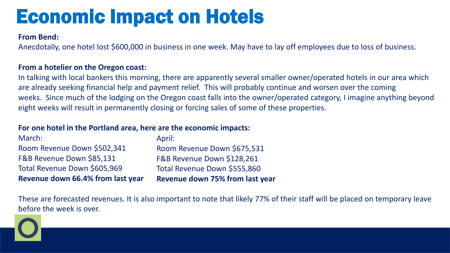# Economic Impact on Hotels

#### **From Bend:**

Anecdotally, one hotel lost \$600,000 in business in one week. May have to lay off employees due to loss of business.

#### **From a hotelier on the Oregon coast:**

In talking with local bankers this morning, there are apparently several smaller owner/operated hotels in our area which are already seeking financial help and payment relief. This will probably continue and worsen over the coming weeks. Since much of the lodging on the Oregon coast falls into the owner/operated category, I imagine anything beyond eight weeks will result in permanently closing or forcing sales of some of these properties.

#### **For one hotel in the Portland area, here are the economic impacts:**

| <b>Revenue down 66.4% from last year</b> | <b>Revenue down 75% from last year</b> |
|------------------------------------------|----------------------------------------|
| Total Revenue Down \$605,969             | Total Revenue Down \$555,860           |
| F&B Revenue Down \$85,131                | F&B Revenue Down \$128,261             |
| Room Revenue Down \$502,341              | Room Revenue Down \$675,531            |
| March:                                   | April:                                 |

These are forecasted revenues. It is also important to note that likely 77% of their staff will be placed on temporary leave before the week is over.

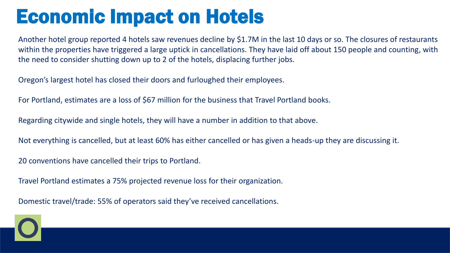# Economic Impact on Hotels

Another hotel group reported 4 hotels saw revenues decline by \$1.7M in the last 10 days or so. The closures of restaurants within the properties have triggered a large uptick in cancellations. They have laid off about 150 people and counting, with the need to consider shutting down up to 2 of the hotels, displacing further jobs.

Oregon's largest hotel has closed their doors and furloughed their employees.

For Portland, estimates are a loss of \$67 million for the business that Travel Portland books.

Regarding citywide and single hotels, they will have a number in addition to that above.

Not everything is cancelled, but at least 60% has either cancelled or has given a heads-up they are discussing it.

20 conventions have cancelled their trips to Portland.

Travel Portland estimates a 75% projected revenue loss for their organization.

Domestic travel/trade: 55% of operators said they've received cancellations.

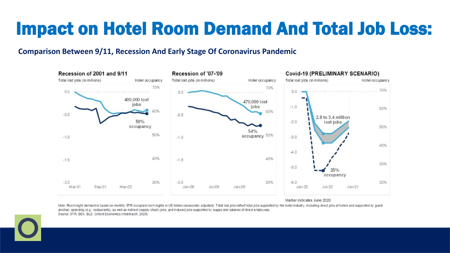### Impact on Hotel Room Demand And Total Job Loss:

#### **Comparison Between 9/11, Recession And Early Stage Of Coronavirus Pandemic**



Marker indicates June 2020

Note: Room night demand is based on monthly STR occupied room nights in US hotels (seasonally adjusted). Total lost jobs reflect total jobs supported by the hotel industry, including direct jobs at hotels and supported by ancillary spending (e.g., restaurants), as well as indirect (supply-chain) jobs, and induced jobs supported by wages and salaries of direct employees. Source: STR, BEA, BLS, Oxford Economics (mid-March, 2020)

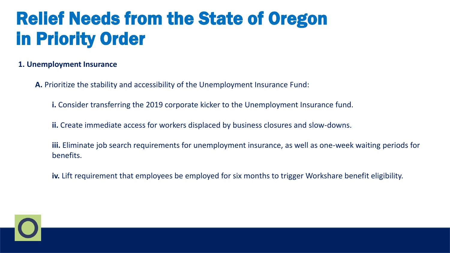### **1. Unemployment Insurance**

- **A.** Prioritize the stability and accessibility of the Unemployment Insurance Fund:
	- **i.** Consider transferring the 2019 corporate kicker to the Unemployment Insurance fund.
	- **ii.** Create immediate access for workers displaced by business closures and slow-downs.
	- **iii.** Eliminate job search requirements for unemployment insurance, as well as one-week waiting periods for benefits.
	- **iv.** Lift requirement that employees be employed for six months to trigger Workshare benefit eligibility.

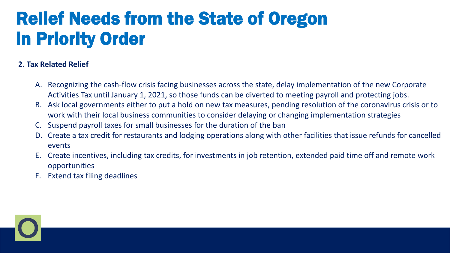### **2. Tax Related Relief**

- A. Recognizing the cash-flow crisis facing businesses across the state, delay implementation of the new Corporate Activities Tax until January 1, 2021, so those funds can be diverted to meeting payroll and protecting jobs.
- B. Ask local governments either to put a hold on new tax measures, pending resolution of the coronavirus crisis or to work with their local business communities to consider delaying or changing implementation strategies
- Suspend payroll taxes for small businesses for the duration of the ban
- D. Create a tax credit for restaurants and lodging operations along with other facilities that issue refunds for cancelled events
- E. Create incentives, including tax credits, for investments in job retention, extended paid time off and remote work opportunities
- F. Extend tax filing deadlines

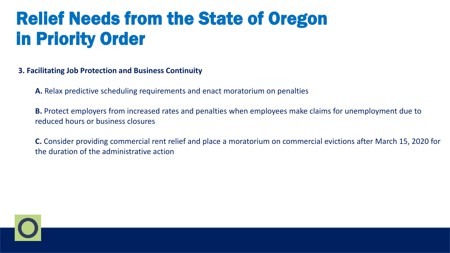**3. Facilitating Job Protection and Business Continuity**

**A.** Relax predictive scheduling requirements and enact moratorium on penalties

**B.** Protect employers from increased rates and penalties when employees make claims for unemployment due to reduced hours or business closures

**C.** Consider providing commercial rent relief and place a moratorium on commercial evictions after March 15, 2020 for the duration of the administrative action

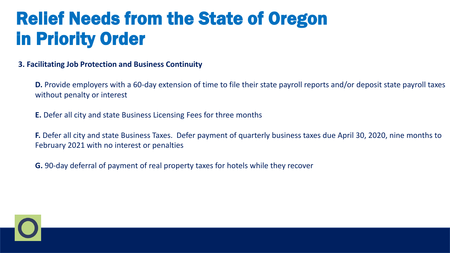#### **3. Facilitating Job Protection and Business Continuity**

**D.** Provide employers with a 60-day extension of time to file their state payroll reports and/or deposit state payroll taxes without penalty or interest

**E.** Defer all city and state Business Licensing Fees for three months

**F.** Defer all city and state Business Taxes. Defer payment of quarterly business taxes due April 30, 2020, nine months to February 2021 with no interest or penalties

**G.** 90-day deferral of payment of real property taxes for hotels while they recover

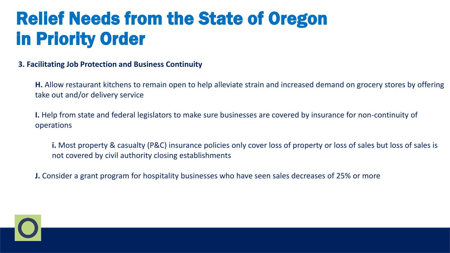#### **3. Facilitating Job Protection and Business Continuity**

**H.** Allow restaurant kitchens to remain open to help alleviate strain and increased demand on grocery stores by offering take out and/or delivery service

**I.** Help from state and federal legislators to make sure businesses are covered by insurance for non-continuity of operations

**i.** Most property & casualty (P&C) insurance policies only cover loss of property or loss of sales but loss of sales is not covered by civil authority closing establishments

**J.** Consider a grant program for hospitality businesses who have seen sales decreases of 25% or more

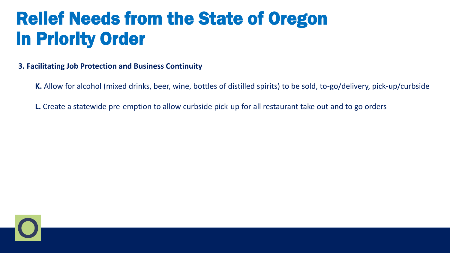### **3. Facilitating Job Protection and Business Continuity**

**K.** Allow for alcohol (mixed drinks, beer, wine, bottles of distilled spirits) to be sold, to-go/delivery, pick-up/curbside

**L.** Create a statewide pre-emption to allow curbside pick-up for all restaurant take out and to go orders

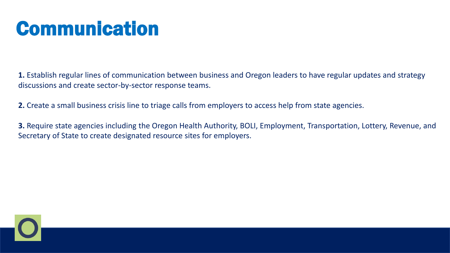# Communication

**1.** Establish regular lines of communication between business and Oregon leaders to have regular updates and strategy discussions and create sector-by-sector response teams.

**2.** Create a small business crisis line to triage calls from employers to access help from state agencies.

**3.** Require state agencies including the Oregon Health Authority, BOLI, Employment, Transportation, Lottery, Revenue, and Secretary of State to create designated resource sites for employers.